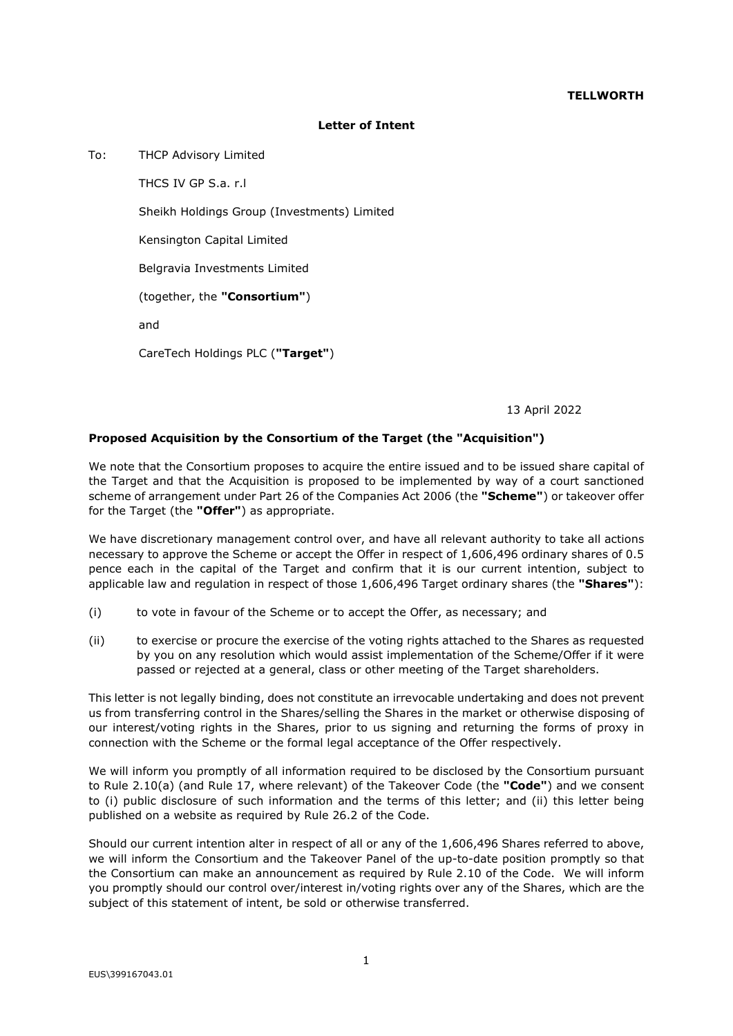## **TELLWORTH**

## **Letter of Intent**

To: THCP Advisory Limited

THCS IV GP S.a. r.l Sheikh Holdings Group (Investments) Limited Kensington Capital Limited Belgravia Investments Limited (together, the **"Consortium"**) and CareTech Holdings PLC (**"Target"**)

13 April 2022

## **Proposed Acquisition by the Consortium of the Target (the "Acquisition")**

We note that the Consortium proposes to acquire the entire issued and to be issued share capital of the Target and that the Acquisition is proposed to be implemented by way of a court sanctioned scheme of arrangement under Part 26 of the Companies Act 2006 (the **"Scheme"**) or takeover offer for the Target (the **"Offer"**) as appropriate.

We have discretionary management control over, and have all relevant authority to take all actions necessary to approve the Scheme or accept the Offer in respect of 1,606,496 ordinary shares of 0.5 pence each in the capital of the Target and confirm that it is our current intention, subject to applicable law and regulation in respect of those 1,606,496 Target ordinary shares (the **"Shares"**):

- (i) to vote in favour of the Scheme or to accept the Offer, as necessary; and
- (ii) to exercise or procure the exercise of the voting rights attached to the Shares as requested by you on any resolution which would assist implementation of the Scheme/Offer if it were passed or rejected at a general, class or other meeting of the Target shareholders.

This letter is not legally binding, does not constitute an irrevocable undertaking and does not prevent us from transferring control in the Shares/selling the Shares in the market or otherwise disposing of our interest/voting rights in the Shares, prior to us signing and returning the forms of proxy in connection with the Scheme or the formal legal acceptance of the Offer respectively.

We will inform you promptly of all information required to be disclosed by the Consortium pursuant to Rule 2.10(a) (and Rule 17, where relevant) of the Takeover Code (the **"Code"**) and we consent to (i) public disclosure of such information and the terms of this letter; and (ii) this letter being published on a website as required by Rule 26.2 of the Code.

Should our current intention alter in respect of all or any of the 1,606,496 Shares referred to above, we will inform the Consortium and the Takeover Panel of the up-to-date position promptly so that the Consortium can make an announcement as required by Rule 2.10 of the Code. We will inform you promptly should our control over/interest in/voting rights over any of the Shares, which are the subject of this statement of intent, be sold or otherwise transferred.